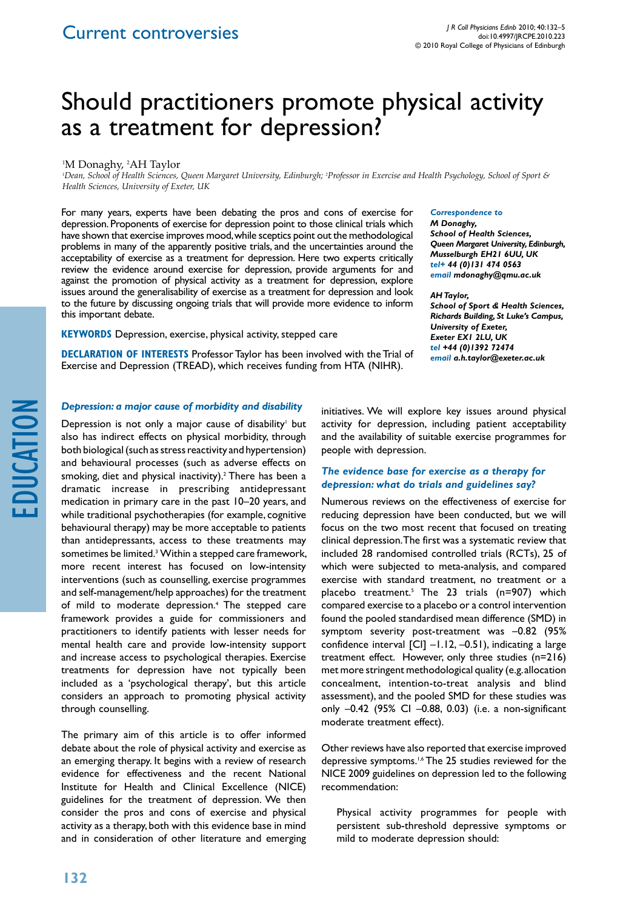# Should practitioners promote physical activity as a treatment for depression?

1 M Donaghy, 2 AH Taylor

*1 Dean, School of Health Sciences, Queen Margaret University, Edinburgh; 2 Professor in Exercise and Health Psychology, School of Sport & Health Sciences, University of Exeter, UK*

For many years, experts have been debating the pros and cons of exercise for depression. Proponents of exercise for depression point to those clinical trials which have shown that exercise improves mood, while sceptics point out the methodological problems in many of the apparently positive trials, and the uncertainties around the acceptability of exercise as a treatment for depression. Here two experts critically review the evidence around exercise for depression, provide arguments for and against the promotion of physical activity as a treatment for depression, explore issues around the generalisability of exercise as a treatment for depression and look to the future by discussing ongoing trials that will provide more evidence to inform this important debate.

**KEYWORDS** Depression, exercise, physical activity, stepped care

**Declaration of Interests** Professor Taylor has been involved with the Trial of Exercise and Depression (TREAD), which receives funding from HTA (NIHR).

*Correspondence to* 

*M Donaghy, School of Health Sciences, Queen Margaret University, Edinburgh, Musselburgh EH21 6UU, UK tel+ 44 (0)131 474 0563 email mdonaghy@qmu.ac.uk*

#### *AH Taylor,*

*School of Sport & Health Sciences, Richards Building, St Luke's Campus, University of Exeter, Exeter EX1 2LU, UK tel +44 (0)1392 72474 email a.h.taylor@exeter.ac.uk*

#### *Depression: a major cause of morbidity and disability*

Depression is not only a major cause of disability<sup>1</sup> but also has indirect effects on physical morbidity, through both biological (such as stress reactivity and hypertension) and behavioural processes (such as adverse effects on smoking, diet and physical inactivity).<sup>2</sup> There has been a dramatic increase in prescribing antidepressant medication in primary care in the past 10–20 years, and while traditional psychotherapies (for example, cognitive behavioural therapy) may be more acceptable to patients than antidepressants, access to these treatments may sometimes be limited.<sup>3</sup> Within a stepped care framework, more recent interest has focused on low-intensity interventions (such as counselling, exercise programmes and self-management/help approaches) for the treatment of mild to moderate depression.<sup>4</sup> The stepped care framework provides a guide for commissioners and practitioners to identify patients with lesser needs for mental health care and provide low-intensity support and increase access to psychological therapies. Exercise treatments for depression have not typically been included as a 'psychological therapy', but this article considers an approach to promoting physical activity through counselling.

The primary aim of this article is to offer informed debate about the role of physical activity and exercise as an emerging therapy. It begins with a review of research evidence for effectiveness and the recent National Institute for Health and Clinical Excellence (NICE) guidelines for the treatment of depression. We then consider the pros and cons of exercise and physical activity as a therapy, both with this evidence base in mind and in consideration of other literature and emerging

initiatives. We will explore key issues around physical activity for depression, including patient acceptability and the availability of suitable exercise programmes for people with depression.

### *The evidence base for exercise as a therapy for depression: what do trials and guidelines say?*

Numerous reviews on the effectiveness of exercise for reducing depression have been conducted, but we will focus on the two most recent that focused on treating clinical depression. The first was a systematic review that included 28 randomised controlled trials (RCTs), 25 of which were subjected to meta-analysis, and compared exercise with standard treatment, no treatment or a placebo treatment.5 The 23 trials (n=907) which compared exercise to a placebo or a control intervention found the pooled standardised mean difference (SMD) in symptom severity post-treatment was –0.82 (95% confidence interval [CI] –1.12, –0.51), indicating a large treatment effect. However, only three studies (n=216) met more stringent methodological quality (e.g. allocation concealment, intention-to-treat analysis and blind assessment), and the pooled SMD for these studies was only –0.42 (95% CI –0.88, 0.03) (i.e. a non-significant moderate treatment effect).

Other reviews have also reported that exercise improved depressive symptoms.1,6 The 25 studies reviewed for the NICE 2009 guidelines on depression led to the following recommendation:

Physical activity programmes for people with persistent sub-threshold depressive symptoms or mild to moderate depression should: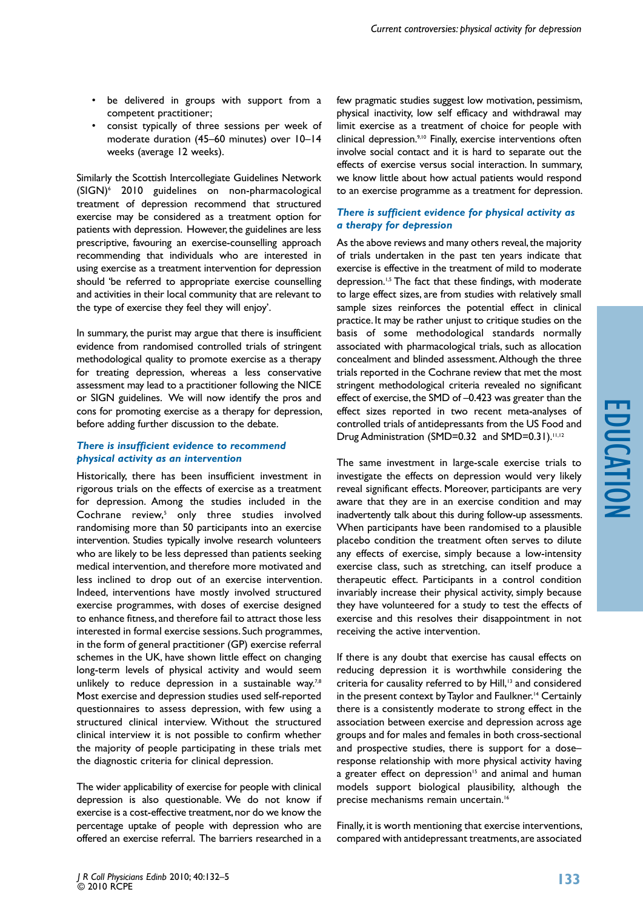- • be delivered in groups with support from a competent practitioner;
- consist typically of three sessions per week of moderate duration (45–60 minutes) over 10–14 weeks (average 12 weeks).

Similarly the Scottish Intercollegiate Guidelines Network (SIGN)6 2010 guidelines on non-pharmacological treatment of depression recommend that structured exercise may be considered as a treatment option for patients with depression. However, the guidelines are less prescriptive, favouring an exercise-counselling approach recommending that individuals who are interested in using exercise as a treatment intervention for depression should 'be referred to appropriate exercise counselling and activities in their local community that are relevant to the type of exercise they feel they will enjoy'.

In summary, the purist may argue that there is insufficient evidence from randomised controlled trials of stringent methodological quality to promote exercise as a therapy for treating depression, whereas a less conservative assessment may lead to a practitioner following the NICE or SIGN guidelines. We will now identify the pros and cons for promoting exercise as a therapy for depression, before adding further discussion to the debate.

## *There is insufficient evidence to recommend physical activity as an intervention*

Historically, there has been insufficient investment in rigorous trials on the effects of exercise as a treatment for depression. Among the studies included in the Cochrane review,<sup>5</sup> only three studies involved randomising more than 50 participants into an exercise intervention. Studies typically involve research volunteers who are likely to be less depressed than patients seeking medical intervention, and therefore more motivated and less inclined to drop out of an exercise intervention. Indeed, interventions have mostly involved structured exercise programmes, with doses of exercise designed to enhance fitness, and therefore fail to attract those less interested in formal exercise sessions. Such programmes, in the form of general practitioner (GP) exercise referral schemes in the UK, have shown little effect on changing long-term levels of physical activity and would seem unlikely to reduce depression in a sustainable way.<sup>7,8</sup> Most exercise and depression studies used self-reported questionnaires to assess depression, with few using a structured clinical interview. Without the structured clinical interview it is not possible to confirm whether the majority of people participating in these trials met the diagnostic criteria for clinical depression.

The wider applicability of exercise for people with clinical depression is also questionable. We do not know if exercise is a cost-effective treatment, nor do we know the percentage uptake of people with depression who are offered an exercise referral. The barriers researched in a

few pragmatic studies suggest low motivation, pessimism, physical inactivity, low self efficacy and withdrawal may limit exercise as a treatment of choice for people with clinical depression.9,10 Finally, exercise interventions often involve social contact and it is hard to separate out the effects of exercise versus social interaction. In summary, we know little about how actual patients would respond to an exercise programme as a treatment for depression.

## *There is sufficient evidence for physical activity as a therapy for depression*

As the above reviews and many others reveal, the majority of trials undertaken in the past ten years indicate that exercise is effective in the treatment of mild to moderate depression.1,5 The fact that these findings, with moderate to large effect sizes, are from studies with relatively small sample sizes reinforces the potential effect in clinical practice. It may be rather unjust to critique studies on the basis of some methodological standards normally associated with pharmacological trials, such as allocation concealment and blinded assessment. Although the three trials reported in the Cochrane review that met the most stringent methodological criteria revealed no significant effect of exercise, the SMD of –0.423 was greater than the effect sizes reported in two recent meta-analyses of controlled trials of antidepressants from the US Food and Drug Administration (SMD=0.32 and SMD=0.31).<sup>11,12</sup>

The same investment in large-scale exercise trials to investigate the effects on depression would very likely reveal significant effects. Moreover, participants are very aware that they are in an exercise condition and may inadvertently talk about this during follow-up assessments. When participants have been randomised to a plausible placebo condition the treatment often serves to dilute any effects of exercise, simply because a low-intensity exercise class, such as stretching, can itself produce a therapeutic effect. Participants in a control condition invariably increase their physical activity, simply because they have volunteered for a study to test the effects of exercise and this resolves their disappointment in not receiving the active intervention.

If there is any doubt that exercise has causal effects on reducing depression it is worthwhile considering the criteria for causality referred to by Hill,<sup>13</sup> and considered in the present context by Taylor and Faulkner.<sup>14</sup> Certainly there is a consistently moderate to strong effect in the association between exercise and depression across age groups and for males and females in both cross-sectional and prospective studies, there is support for a dose– response relationship with more physical activity having a greater effect on depression<sup>15</sup> and animal and human models support biological plausibility, although the precise mechanisms remain uncertain.<sup>16</sup>

Finally, it is worth mentioning that exercise interventions, compared with antidepressant treatments, are associated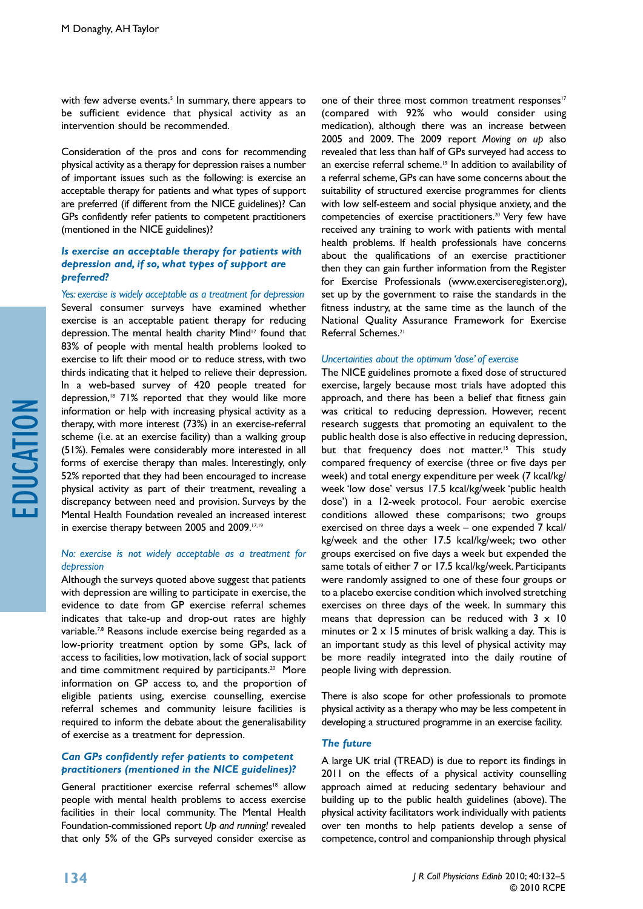with few adverse events.<sup>5</sup> In summary, there appears to be sufficient evidence that physical activity as an intervention should be recommended.

Consideration of the pros and cons for recommending physical activity as a therapy for depression raises a number of important issues such as the following: is exercise an acceptable therapy for patients and what types of support are preferred (if different from the NICE guidelines)? Can GPs confidently refer patients to competent practitioners (mentioned in the NICE guidelines)?

#### *Is exercise an acceptable therapy for patients with depression and, if so, what types of support are preferred?*

*Yes: exercise is widely acceptable as a treatment for depression*  Several consumer surveys have examined whether exercise is an acceptable patient therapy for reducing depression. The mental health charity Mind<sup>17</sup> found that 83% of people with mental health problems looked to exercise to lift their mood or to reduce stress, with two thirds indicating that it helped to relieve their depression. In a web-based survey of 420 people treated for depression,<sup>18</sup> 71% reported that they would like more information or help with increasing physical activity as a therapy, with more interest (73%) in an exercise-referral scheme (i.e. at an exercise facility) than a walking group (51%). Females were considerably more interested in all forms of exercise therapy than males. Interestingly, only 52% reported that they had been encouraged to increase physical activity as part of their treatment, revealing a discrepancy between need and provision. Surveys by the Mental Health Foundation revealed an increased interest in exercise therapy between 2005 and 2009.<sup>17,19</sup>

#### *No: exercise is not widely acceptable as a treatment for depression*

Although the surveys quoted above suggest that patients with depression are willing to participate in exercise, the evidence to date from GP exercise referral schemes indicates that take-up and drop-out rates are highly variable.<sup>7,8</sup> Reasons include exercise being regarded as a low-priority treatment option by some GPs, lack of access to facilities, low motivation, lack of social support and time commitment required by participants.<sup>20</sup> More information on GP access to, and the proportion of eligible patients using, exercise counselling, exercise referral schemes and community leisure facilities is required to inform the debate about the generalisability of exercise as a treatment for depression.

#### *Can GPs confidently refer patients to competent practitioners (mentioned in the NICE guidelines)?*

General practitioner exercise referral schemes<sup>18</sup> allow people with mental health problems to access exercise facilities in their local community. The Mental Health Foundation-commissioned report *Up and running!* revealed that only 5% of the GPs surveyed consider exercise as

one of their three most common treatment responses<sup>17</sup> (compared with 92% who would consider using medication), although there was an increase between 2005 and 2009. The 2009 report *Moving on up* also revealed that less than half of GPs surveyed had access to an exercise referral scheme.<sup>19</sup> In addition to availability of a referral scheme, GPs can have some concerns about the suitability of structured exercise programmes for clients with low self-esteem and social physique anxiety, and the competencies of exercise practitioners.<sup>20</sup> Very few have received any training to work with patients with mental health problems. If health professionals have concerns about the qualifications of an exercise practitioner then they can gain further information from the Register for Exercise Professionals (www.exerciseregister.org), set up by the government to raise the standards in the fitness industry, at the same time as the launch of the National Quality Assurance Framework for Exercise Referral Schemes.<sup>21</sup>

#### *Uncertainties about the optimum 'dose' of exercise*

The NICE guidelines promote a fixed dose of structured exercise, largely because most trials have adopted this approach, and there has been a belief that fitness gain was critical to reducing depression. However, recent research suggests that promoting an equivalent to the public health dose is also effective in reducing depression, but that frequency does not matter.<sup>15</sup> This study compared frequency of exercise (three or five days per week) and total energy expenditure per week (7 kcal/kg/ week 'low dose' versus 17.5 kcal/kg/week 'public health dose') in a 12-week protocol. Four aerobic exercise conditions allowed these comparisons; two groups exercised on three days a week – one expended 7 kcal/ kg/week and the other 17.5 kcal/kg/week; two other groups exercised on five days a week but expended the same totals of either 7 or 17.5 kcal/kg/week. Participants were randomly assigned to one of these four groups or to a placebo exercise condition which involved stretching exercises on three days of the week. In summary this means that depression can be reduced with  $3 \times 10$ minutes or  $2 \times 15$  minutes of brisk walking a day. This is an important study as this level of physical activity may be more readily integrated into the daily routine of people living with depression.

There is also scope for other professionals to promote physical activity as a therapy who may be less competent in developing a structured programme in an exercise facility.

#### *The future*

A large UK trial (TREAD) is due to report its findings in 2011 on the effects of a physical activity counselling approach aimed at reducing sedentary behaviour and building up to the public health guidelines (above). The physical activity facilitators work individually with patients over ten months to help patients develop a sense of competence, control and companionship through physical